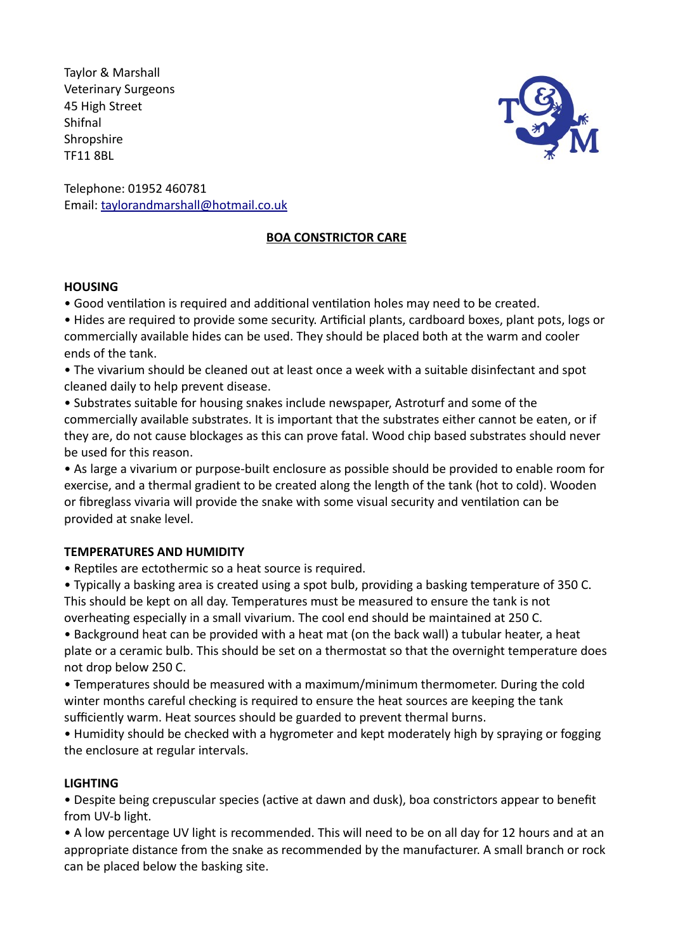Taylor & Marshall Veterinary Surgeons 45 High Street Shifnal **Shropshire** TF11 8BL



Telephone: 01952 460781 Email: taylorandmarshall@hotmail.co.uk

### **BOA CONSTRICTOR CARE**

### **HOUSING**

• Good ventilation is required and additional ventilation holes may need to be created.

• Hides are required to provide some security. Artificial plants, cardboard boxes, plant pots, logs or commercially available hides can be used. They should be placed both at the warm and cooler ends of the tank.

• The vivarium should be cleaned out at least once a week with a suitable disinfectant and spot cleaned daily to help prevent disease.

• Substrates suitable for housing snakes include newspaper, Astroturf and some of the commercially available substrates. It is important that the substrates either cannot be eaten, or if they are, do not cause blockages as this can prove fatal. Wood chip based substrates should never be used for this reason.

• As large a vivarium or purpose-built enclosure as possible should be provided to enable room for exercise, and a thermal gradient to be created along the length of the tank (hot to cold). Wooden or fibreglass vivaria will provide the snake with some visual security and ventilation can be provided at snake level.

### **TEMPERATURES AND HUMIDITY**

• Reptiles are ectothermic so a heat source is required.

• Typically a basking area is created using a spot bulb, providing a basking temperature of 350 C. This should be kept on all day. Temperatures must be measured to ensure the tank is not overheating especially in a small vivarium. The cool end should be maintained at 250 C.

• Background heat can be provided with a heat mat (on the back wall) a tubular heater, a heat plate or a ceramic bulb. This should be set on a thermostat so that the overnight temperature does not drop below 250 C.

• Temperatures should be measured with a maximum/minimum thermometer. During the cold winter months careful checking is required to ensure the heat sources are keeping the tank sufficiently warm. Heat sources should be guarded to prevent thermal burns.

• Humidity should be checked with a hygrometer and kept moderately high by spraying or fogging the enclosure at regular intervals.

# **LIGHTING**

• Despite being crepuscular species (active at dawn and dusk), boa constrictors appear to benefit from UV-b light.

• A low percentage UV light is recommended. This will need to be on all day for 12 hours and at an appropriate distance from the snake as recommended by the manufacturer. A small branch or rock can be placed below the basking site.